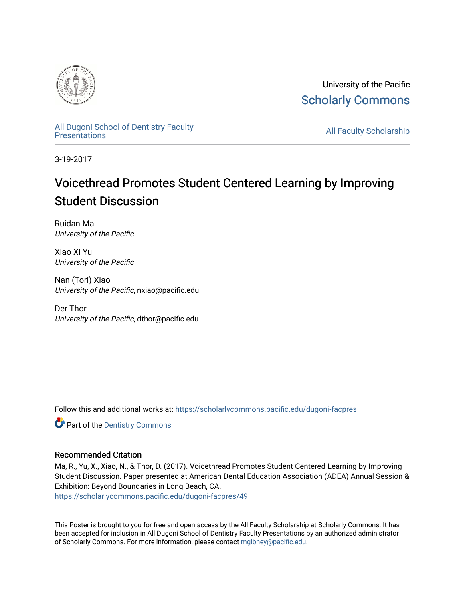

University of the Pacific [Scholarly Commons](https://scholarlycommons.pacific.edu/) 

[All Dugoni School of Dentistry Faculty](https://scholarlycommons.pacific.edu/dugoni-facpres)<br>Presentations

**All Faculty Scholarship** 

3-19-2017

## Voicethread Promotes Student Centered Learning by Improving Student Discussion

Ruidan Ma University of the Pacific

Xiao Xi Yu University of the Pacific

Nan (Tori) Xiao University of the Pacific, nxiao@pacific.edu

Der Thor University of the Pacific, dthor@pacific.edu

Follow this and additional works at: [https://scholarlycommons.pacific.edu/dugoni-facpres](https://scholarlycommons.pacific.edu/dugoni-facpres?utm_source=scholarlycommons.pacific.edu%2Fdugoni-facpres%2F49&utm_medium=PDF&utm_campaign=PDFCoverPages)

**Part of the Dentistry Commons** 

#### Recommended Citation

Ma, R., Yu, X., Xiao, N., & Thor, D. (2017). Voicethread Promotes Student Centered Learning by Improving Student Discussion. Paper presented at American Dental Education Association (ADEA) Annual Session & Exhibition: Beyond Boundaries in Long Beach, CA.

[https://scholarlycommons.pacific.edu/dugoni-facpres/49](https://scholarlycommons.pacific.edu/dugoni-facpres/49?utm_source=scholarlycommons.pacific.edu%2Fdugoni-facpres%2F49&utm_medium=PDF&utm_campaign=PDFCoverPages) 

This Poster is brought to you for free and open access by the All Faculty Scholarship at Scholarly Commons. It has been accepted for inclusion in All Dugoni School of Dentistry Faculty Presentations by an authorized administrator of Scholarly Commons. For more information, please contact [mgibney@pacific.edu](mailto:mgibney@pacific.edu).